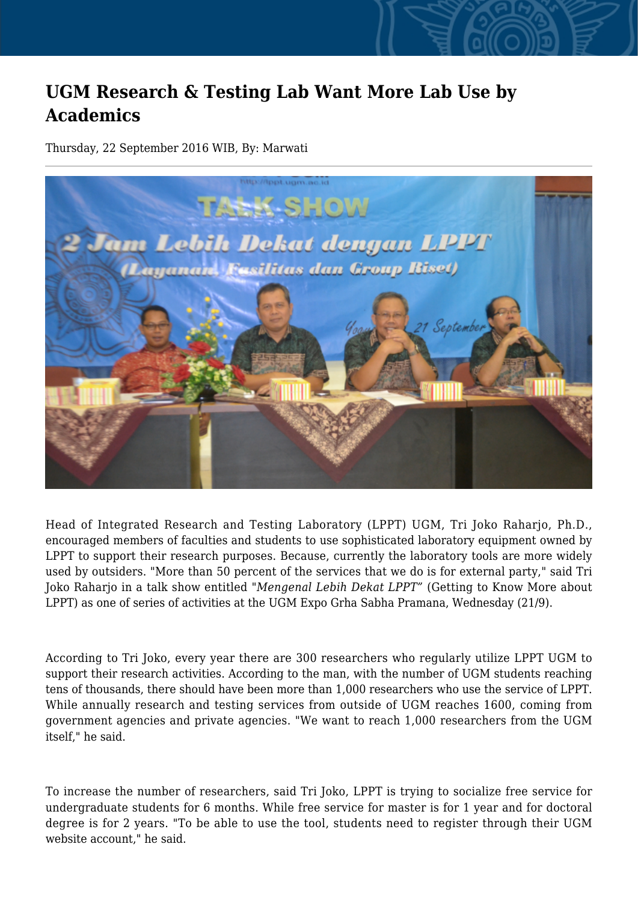## **UGM Research & Testing Lab Want More Lab Use by Academics**

Thursday, 22 September 2016 WIB, By: Marwati



Head of Integrated Research and Testing Laboratory (LPPT) UGM, Tri Joko Raharjo, Ph.D., encouraged members of faculties and students to use sophisticated laboratory equipment owned by LPPT to support their research purposes. Because, currently the laboratory tools are more widely used by outsiders. "More than 50 percent of the services that we do is for external party," said Tri Joko Raharjo in a talk show entitled "*Mengenal Lebih Dekat LPPT"* (Getting to Know More about LPPT) as one of series of activities at the UGM Expo Grha Sabha Pramana, Wednesday (21/9).

According to Tri Joko, every year there are 300 researchers who regularly utilize LPPT UGM to support their research activities. According to the man, with the number of UGM students reaching tens of thousands, there should have been more than 1,000 researchers who use the service of LPPT. While annually research and testing services from outside of UGM reaches 1600, coming from government agencies and private agencies. "We want to reach 1,000 researchers from the UGM itself," he said.

To increase the number of researchers, said Tri Joko, LPPT is trying to socialize free service for undergraduate students for 6 months. While free service for master is for 1 year and for doctoral degree is for 2 years. "To be able to use the tool, students need to register through their UGM website account," he said.